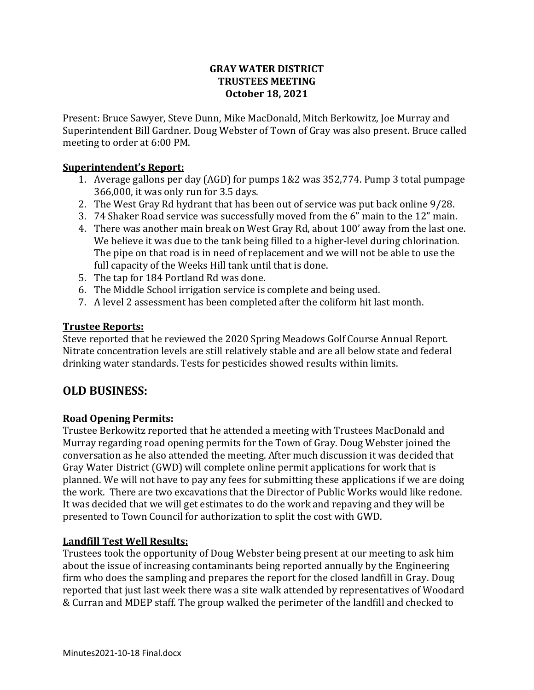# **GRAY WATER DISTRICT TRUSTEES MEETING October 18, 2021**

Present: Bruce Sawyer, Steve Dunn, Mike MacDonald, Mitch Berkowitz, Joe Murray and Superintendent Bill Gardner. Doug Webster of Town of Gray was also present. Bruce called meeting to order at 6:00 PM.

# **Superintendent's Report:**

- 1. Average gallons per day (AGD) for pumps 1&2 was 352,774. Pump 3 total pumpage 366,000, it was only run for 3.5 days.
- 2. The West Gray Rd hydrant that has been out of service was put back online 9/28.
- 3. 74 Shaker Road service was successfully moved from the 6" main to the 12" main.
- 4. There was another main break on West Gray Rd, about 100' away from the last one. We believe it was due to the tank being filled to a higher-level during chlorination. The pipe on that road is in need of replacement and we will not be able to use the full capacity of the Weeks Hill tank until that is done.
- 5. The tap for 184 Portland Rd was done.
- 6. The Middle School irrigation service is complete and being used.
- 7. A level 2 assessment has been completed after the coliform hit last month.

# **Trustee Reports:**

Steve reported that he reviewed the 2020 Spring Meadows Golf Course Annual Report. Nitrate concentration levels are still relatively stable and are all below state and federal drinking water standards. Tests for pesticides showed results within limits.

# **OLD BUSINESS:**

# **Road Opening Permits:**

Trustee Berkowitz reported that he attended a meeting with Trustees MacDonald and Murray regarding road opening permits for the Town of Gray. Doug Webster joined the conversation as he also attended the meeting. After much discussion it was decided that Gray Water District (GWD) will complete online permit applications for work that is planned. We will not have to pay any fees for submitting these applications if we are doing the work. There are two excavations that the Director of Public Works would like redone. It was decided that we will get estimates to do the work and repaving and they will be presented to Town Council for authorization to split the cost with GWD.

# **Landfill Test Well Results:**

Trustees took the opportunity of Doug Webster being present at our meeting to ask him about the issue of increasing contaminants being reported annually by the Engineering firm who does the sampling and prepares the report for the closed landfill in Gray. Doug reported that just last week there was a site walk attended by representatives of Woodard & Curran and MDEP staff. The group walked the perimeter of the landfill and checked to